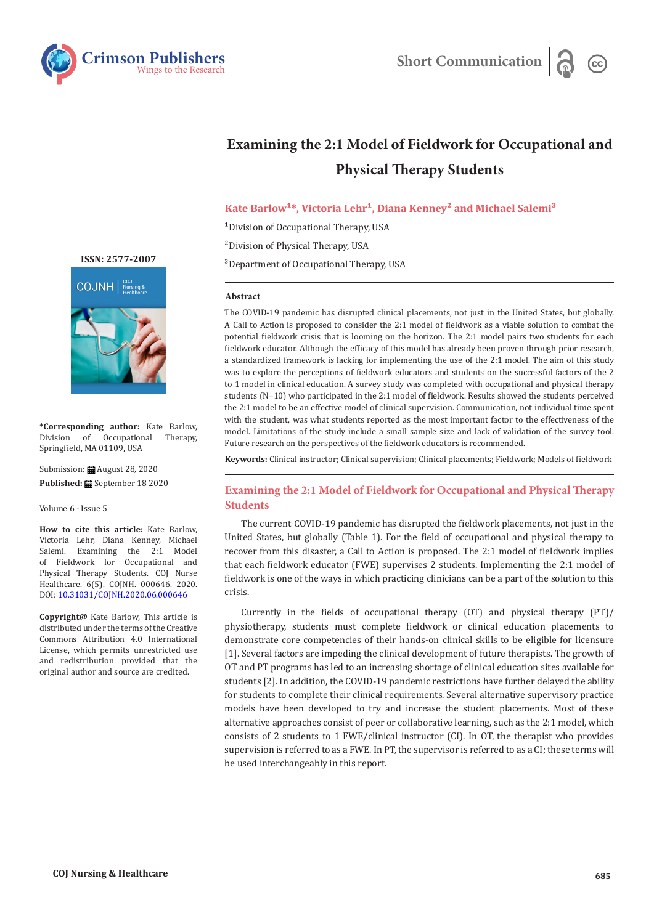

# **Examining the 2:1 Model of Fieldwork for Occupational and Physical Therapy Students**

# Kate Barlow<sup>1\*</sup>, Victoria Lehr<sup>1</sup>, Diana Kenney<sup>2</sup> and Michael Salemi<sup>3</sup>

<sup>1</sup>Division of Occupational Therapy, USA

²Division of Physical Therapy, USA

<sup>3</sup>Department of Occupational Therapy, USA

#### **Abstract**

The COVID-19 pandemic has disrupted clinical placements, not just in the United States, but globally. A Call to Action is proposed to consider the 2:1 model of fieldwork as a viable solution to combat the potential fieldwork crisis that is looming on the horizon. The 2:1 model pairs two students for each fieldwork educator. Although the efficacy of this model has already been proven through prior research, a standardized framework is lacking for implementing the use of the 2:1 model. The aim of this study was to explore the perceptions of fieldwork educators and students on the successful factors of the 2 to 1 model in clinical education. A survey study was completed with occupational and physical therapy students (N=10) who participated in the 2:1 model of fieldwork. Results showed the students perceived the 2:1 model to be an effective model of clinical supervision. Communication, not individual time spent with the student, was what students reported as the most important factor to the effectiveness of the model. Limitations of the study include a small sample size and lack of validation of the survey tool. Future research on the perspectives of the fieldwork educators is recommended.

**Keywords:** Clinical instructor; Clinical supervision; Clinical placements; Fieldwork; Models of fieldwork

# **Examining the 2:1 Model of Fieldwork for Occupational and Physical Therapy Students**

The current COVID-19 pandemic has disrupted the fieldwork placements, not just in the United States, but globally (Table 1). For the field of occupational and physical therapy to recover from this disaster, a Call to Action is proposed. The 2:1 model of fieldwork implies that each fieldwork educator (FWE) supervises 2 students. Implementing the 2:1 model of fieldwork is one of the ways in which practicing clinicians can be a part of the solution to this crisis.

Currently in the fields of occupational therapy (OT) and physical therapy (PT)/ physiotherapy, students must complete fieldwork or clinical education placements to demonstrate core competencies of their hands-on clinical skills to be eligible for licensure [1]. Several factors are impeding the clinical development of future therapists. The growth of OT and PT programs has led to an increasing shortage of clinical education sites available for students [2]. In addition, the COVID-19 pandemic restrictions have further delayed the ability for students to complete their clinical requirements. Several alternative supervisory practice models have been developed to try and increase the student placements. Most of these alternative approaches consist of peer or collaborative learning, such as the 2:1 model, which consists of 2 students to 1 FWE/clinical instructor (CI). In OT, the therapist who provides supervision is referred to as a FWE. In PT, the supervisor is referred to as a CI; these terms will be used interchangeably in this report.



**\*Corresponding author:** Kate Barlow, Division of Occupational Therapy, Springfield, MA 01109, USA

Submission: **曲** August 28, 2020 **Published:** September 18 2020

Volume 6 - Issue 5

**How to cite this article:** Kate Barlow, Victoria Lehr, Diana Kenney, Michael Salemi. Examining the 2:1 Model of Fieldwork for Occupational and Physical Therapy Students. COJ Nurse Healthcare. 6(5). COJNH. 000646. 2020. DOI: [10.31031/COJNH.2020.06.000646](http://dx.doi.org/10.31031/COJNH.2020.06.000646)

**Copyright@** Kate Barlow, This article is distributed under the terms of the Creative Commons Attribution 4.0 International License, which permits unrestricted use and redistribution provided that the original author and source are credited.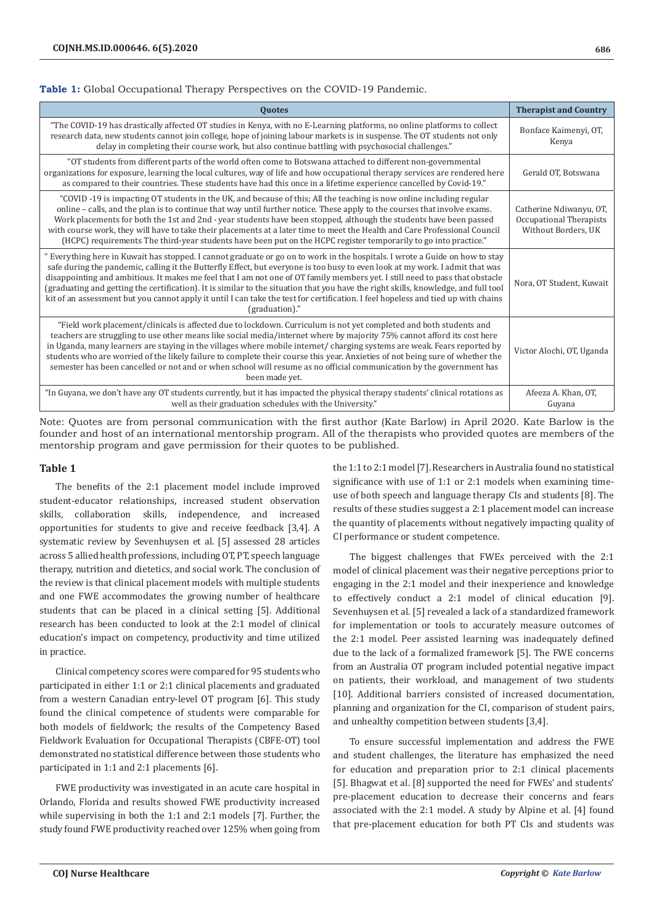## **Table 1:** Global Occupational Therapy Perspectives on the COVID-19 Pandemic.

| <b>Quotes</b>                                                                                                                                                                                                                                                                                                                                                                                                                                                                                                                                                                                                                                                                               | <b>Therapist and Country</b>                                              |
|---------------------------------------------------------------------------------------------------------------------------------------------------------------------------------------------------------------------------------------------------------------------------------------------------------------------------------------------------------------------------------------------------------------------------------------------------------------------------------------------------------------------------------------------------------------------------------------------------------------------------------------------------------------------------------------------|---------------------------------------------------------------------------|
| "The COVID-19 has drastically affected OT studies in Kenya, with no E-Learning platforms, no online platforms to collect<br>research data, new students cannot join college, hope of joining labour markets is in suspense. The OT students not only<br>delay in completing their course work, but also continue battling with psychosocial challenges."                                                                                                                                                                                                                                                                                                                                    | Bonface Kaimenyi, OT,<br>Kenya                                            |
| "OT students from different parts of the world often come to Botswana attached to different non-governmental<br>organizations for exposure, learning the local cultures, way of life and how occupational therapy services are rendered here<br>as compared to their countries. These students have had this once in a lifetime experience cancelled by Covid-19."                                                                                                                                                                                                                                                                                                                          | Gerald OT, Botswana                                                       |
| "COVID-19 is impacting OT students in the UK, and because of this; All the teaching is now online including regular<br>online - calls, and the plan is to continue that way until further notice. These apply to the courses that involve exams.<br>Work placements for both the 1st and 2nd - year students have been stopped, although the students have been passed<br>with course work, they will have to take their placements at a later time to meet the Health and Care Professional Council<br>(HCPC) requirements The third-year students have been put on the HCPC register temporarily to go into practice."                                                                    | Catherine Ndiwanyu, OT,<br>Occupational Therapists<br>Without Borders, UK |
| " Everything here in Kuwait has stopped. I cannot graduate or go on to work in the hospitals. I wrote a Guide on how to stay<br>safe during the pandemic, calling it the Butterfly Effect, but everyone is too busy to even look at my work. I admit that was<br>disappointing and ambitious. It makes me feel that I am not one of OT family members yet. I still need to pass that obstacle<br>(graduating and getting the certification). It is similar to the situation that you have the right skills, knowledge, and full tool<br>kit of an assessment but you cannot apply it until I can take the test for certification. I feel hopeless and tied up with chains<br>(graduation)." | Nora, OT Student, Kuwait                                                  |
| "Field work placement/clinicals is affected due to lockdown. Curriculum is not yet completed and both students and<br>teachers are struggling to use other means like social media/internet where by majority 75% cannot afford its cost here<br>in Uganda, many learners are staying in the villages where mobile internet/charging systems are weak. Fears reported by<br>students who are worried of the likely failure to complete their course this year. Anxieties of not being sure of whether the<br>semester has been cancelled or not and or when school will resume as no official communication by the government has<br>been made yet.                                         | Victor Alochi, OT, Uganda                                                 |
| "In Guyana, we don't have any OT students currently, but it has impacted the physical therapy students' clinical rotations as<br>well as their graduation schedules with the University."                                                                                                                                                                                                                                                                                                                                                                                                                                                                                                   | Afeeza A. Khan, OT,<br>Guyana                                             |

Note: Quotes are from personal communication with the first author (Kate Barlow) in April 2020. Kate Barlow is the founder and host of an international mentorship program. All of the therapists who provided quotes are members of the mentorship program and gave permission for their quotes to be published.

### **Table 1**

The benefits of the 2:1 placement model include improved student-educator relationships, increased student observation skills, collaboration skills, independence, and increased opportunities for students to give and receive feedback [3,4]. A systematic review by Sevenhuysen et al. [5] assessed 28 articles across 5 allied health professions, including OT, PT, speech language therapy, nutrition and dietetics, and social work. The conclusion of the review is that clinical placement models with multiple students and one FWE accommodates the growing number of healthcare students that can be placed in a clinical setting [5]. Additional research has been conducted to look at the 2:1 model of clinical education's impact on competency, productivity and time utilized in practice.

Clinical competency scores were compared for 95 students who participated in either 1:1 or 2:1 clinical placements and graduated from a western Canadian entry-level OT program [6]. This study found the clinical competence of students were comparable for both models of fieldwork; the results of the Competency Based Fieldwork Evaluation for Occupational Therapists (CBFE-OT) tool demonstrated no statistical difference between those students who participated in 1:1 and 2:1 placements [6].

FWE productivity was investigated in an acute care hospital in Orlando, Florida and results showed FWE productivity increased while supervising in both the 1:1 and 2:1 models [7]. Further, the study found FWE productivity reached over 125% when going from the 1:1 to 2:1 model [7]. Researchers in Australia found no statistical significance with use of 1:1 or 2:1 models when examining timeuse of both speech and language therapy CIs and students [8]. The results of these studies suggest a 2:1 placement model can increase the quantity of placements without negatively impacting quality of CI performance or student competence.

The biggest challenges that FWEs perceived with the 2:1 model of clinical placement was their negative perceptions prior to engaging in the 2:1 model and their inexperience and knowledge to effectively conduct a 2:1 model of clinical education [9]. Sevenhuysen et al. [5] revealed a lack of a standardized framework for implementation or tools to accurately measure outcomes of the 2:1 model. Peer assisted learning was inadequately defined due to the lack of a formalized framework [5]. The FWE concerns from an Australia OT program included potential negative impact on patients, their workload, and management of two students [10]. Additional barriers consisted of increased documentation, planning and organization for the CI, comparison of student pairs, and unhealthy competition between students [3,4].

To ensure successful implementation and address the FWE and student challenges, the literature has emphasized the need for education and preparation prior to 2:1 clinical placements [5]. Bhagwat et al. [8] supported the need for FWEs' and students' pre-placement education to decrease their concerns and fears associated with the 2:1 model. A study by Alpine et al. [4] found that pre-placement education for both PT CIs and students was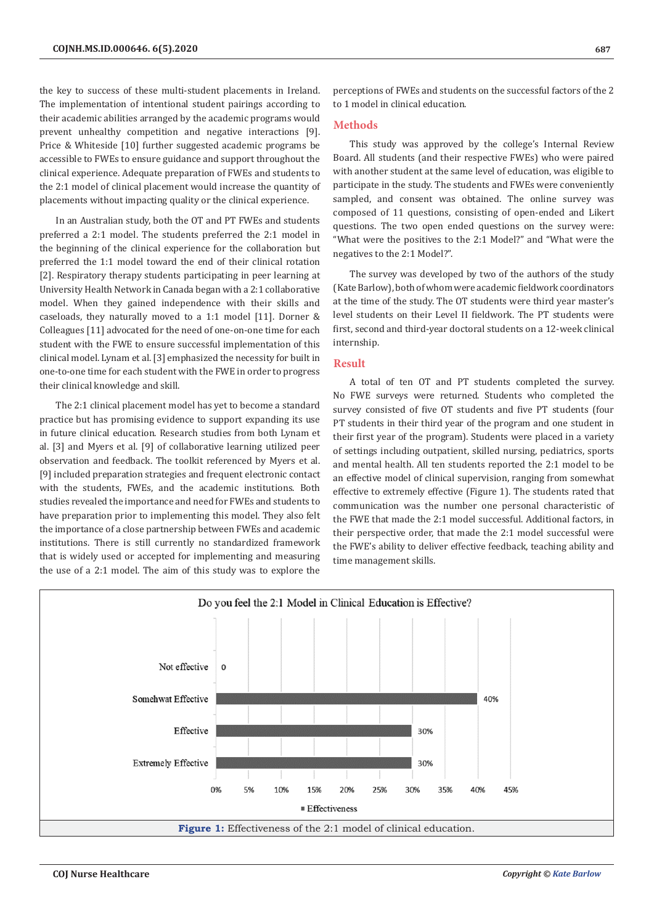the key to success of these multi-student placements in Ireland. The implementation of intentional student pairings according to their academic abilities arranged by the academic programs would prevent unhealthy competition and negative interactions [9]. Price & Whiteside [10] further suggested academic programs be accessible to FWEs to ensure guidance and support throughout the clinical experience. Adequate preparation of FWEs and students to the 2:1 model of clinical placement would increase the quantity of placements without impacting quality or the clinical experience.

In an Australian study, both the OT and PT FWEs and students preferred a 2:1 model. The students preferred the 2:1 model in the beginning of the clinical experience for the collaboration but preferred the 1:1 model toward the end of their clinical rotation [2]. Respiratory therapy students participating in peer learning at University Health Network in Canada began with a 2:1 collaborative model. When they gained independence with their skills and caseloads, they naturally moved to a 1:1 model [11]. Dorner & Colleagues [11] advocated for the need of one-on-one time for each student with the FWE to ensure successful implementation of this clinical model. Lynam et al. [3] emphasized the necessity for built in one-to-one time for each student with the FWE in order to progress their clinical knowledge and skill.

The 2:1 clinical placement model has yet to become a standard practice but has promising evidence to support expanding its use in future clinical education. Research studies from both Lynam et al. [3] and Myers et al. [9] of collaborative learning utilized peer observation and feedback. The toolkit referenced by Myers et al. [9] included preparation strategies and frequent electronic contact with the students, FWEs, and the academic institutions. Both studies revealed the importance and need for FWEs and students to have preparation prior to implementing this model. They also felt the importance of a close partnership between FWEs and academic institutions. There is still currently no standardized framework that is widely used or accepted for implementing and measuring the use of a 2:1 model. The aim of this study was to explore the

perceptions of FWEs and students on the successful factors of the 2 to 1 model in clinical education.

#### **Methods**

This study was approved by the college's Internal Review Board. All students (and their respective FWEs) who were paired with another student at the same level of education, was eligible to participate in the study. The students and FWEs were conveniently sampled, and consent was obtained. The online survey was composed of 11 questions, consisting of open-ended and Likert questions. The two open ended questions on the survey were: "What were the positives to the 2:1 Model?" and "What were the negatives to the 2:1 Model?".

The survey was developed by two of the authors of the study (Kate Barlow), both of whom were academic fieldwork coordinators at the time of the study. The OT students were third year master's level students on their Level II fieldwork. The PT students were first, second and third-year doctoral students on a 12-week clinical internship.

#### **Result**

A total of ten OT and PT students completed the survey. No FWE surveys were returned. Students who completed the survey consisted of five OT students and five PT students (four PT students in their third year of the program and one student in their first year of the program). Students were placed in a variety of settings including outpatient, skilled nursing, pediatrics, sports and mental health. All ten students reported the 2:1 model to be an effective model of clinical supervision, ranging from somewhat effective to extremely effective (Figure 1). The students rated that communication was the number one personal characteristic of the FWE that made the 2:1 model successful. Additional factors, in their perspective order, that made the 2:1 model successful were the FWE's ability to deliver effective feedback, teaching ability and time management skills.

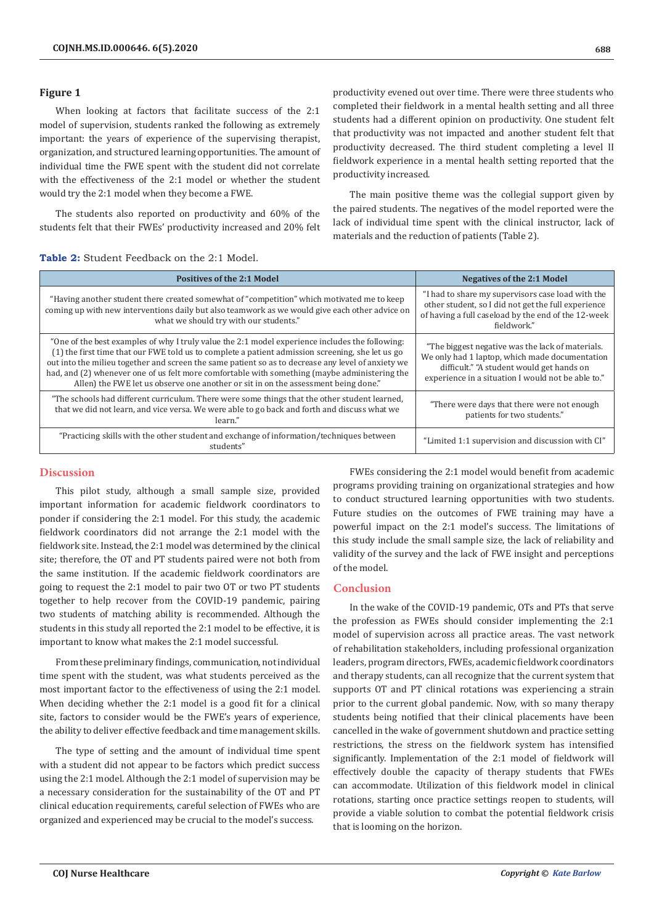#### **Figure 1**

When looking at factors that facilitate success of the 2:1 model of supervision, students ranked the following as extremely important: the years of experience of the supervising therapist, organization, and structured learning opportunities. The amount of individual time the FWE spent with the student did not correlate with the effectiveness of the 2:1 model or whether the student would try the 2:1 model when they become a FWE.

The students also reported on productivity and 60% of the students felt that their FWEs' productivity increased and 20% felt productivity evened out over time. There were three students who completed their fieldwork in a mental health setting and all three students had a different opinion on productivity. One student felt that productivity was not impacted and another student felt that productivity decreased. The third student completing a level II fieldwork experience in a mental health setting reported that the productivity increased.

The main positive theme was the collegial support given by the paired students. The negatives of the model reported were the lack of individual time spent with the clinical instructor, lack of materials and the reduction of patients (Table 2).

## **Table 2:** Student Feedback on the 2:1 Model.

| <b>Positives of the 2:1 Model</b>                                                                                                                                                                                                                                                                                                                                                                                                                                                                | <b>Negatives of the 2:1 Model</b>                                                                                                                                                                     |
|--------------------------------------------------------------------------------------------------------------------------------------------------------------------------------------------------------------------------------------------------------------------------------------------------------------------------------------------------------------------------------------------------------------------------------------------------------------------------------------------------|-------------------------------------------------------------------------------------------------------------------------------------------------------------------------------------------------------|
| "Having another student there created somewhat of "competition" which motivated me to keep<br>coming up with new interventions daily but also teamwork as we would give each other advice on<br>what we should try with our students."                                                                                                                                                                                                                                                           | "I had to share my supervisors case load with the<br>other student, so I did not get the full experience<br>of having a full caseload by the end of the 12-week<br>fieldwork."                        |
| "One of the best examples of why I truly value the 2:1 model experience includes the following:<br>(1) the first time that our FWE told us to complete a patient admission screening, she let us go<br>out into the milieu together and screen the same patient so as to decrease any level of anxiety we<br>had, and (2) whenever one of us felt more comfortable with something (maybe administering the<br>Allen) the FWE let us observe one another or sit in on the assessment being done." | "The biggest negative was the lack of materials.<br>We only had 1 laptop, which made documentation<br>difficult." "A student would get hands on<br>experience in a situation I would not be able to." |
| "The schools had different curriculum. There were some things that the other student learned,<br>that we did not learn, and vice versa. We were able to go back and forth and discuss what we<br>learn."                                                                                                                                                                                                                                                                                         | "There were days that there were not enough<br>patients for two students."                                                                                                                            |
| "Practicing skills with the other student and exchange of information/techniques between<br>students"                                                                                                                                                                                                                                                                                                                                                                                            | "Limited 1:1 supervision and discussion with CI"                                                                                                                                                      |

## **Discussion**

This pilot study, although a small sample size, provided important information for academic fieldwork coordinators to ponder if considering the 2:1 model. For this study, the academic fieldwork coordinators did not arrange the 2:1 model with the fieldwork site. Instead, the 2:1 model was determined by the clinical site; therefore, the OT and PT students paired were not both from the same institution. If the academic fieldwork coordinators are going to request the 2:1 model to pair two OT or two PT students together to help recover from the COVID-19 pandemic, pairing two students of matching ability is recommended. Although the students in this study all reported the 2:1 model to be effective, it is important to know what makes the 2:1 model successful.

From these preliminary findings, communication, not individual time spent with the student, was what students perceived as the most important factor to the effectiveness of using the 2:1 model. When deciding whether the 2:1 model is a good fit for a clinical site, factors to consider would be the FWE's years of experience, the ability to deliver effective feedback and time management skills.

The type of setting and the amount of individual time spent with a student did not appear to be factors which predict success using the 2:1 model. Although the 2:1 model of supervision may be a necessary consideration for the sustainability of the OT and PT clinical education requirements, careful selection of FWEs who are organized and experienced may be crucial to the model's success.

FWEs considering the 2:1 model would benefit from academic programs providing training on organizational strategies and how to conduct structured learning opportunities with two students. Future studies on the outcomes of FWE training may have a powerful impact on the 2:1 model's success. The limitations of this study include the small sample size, the lack of reliability and validity of the survey and the lack of FWE insight and perceptions of the model.

#### **Conclusion**

In the wake of the COVID-19 pandemic, OTs and PTs that serve the profession as FWEs should consider implementing the 2:1 model of supervision across all practice areas. The vast network of rehabilitation stakeholders, including professional organization leaders, program directors, FWEs, academic fieldwork coordinators and therapy students, can all recognize that the current system that supports OT and PT clinical rotations was experiencing a strain prior to the current global pandemic. Now, with so many therapy students being notified that their clinical placements have been cancelled in the wake of government shutdown and practice setting restrictions, the stress on the fieldwork system has intensified significantly. Implementation of the 2:1 model of fieldwork will effectively double the capacity of therapy students that FWEs can accommodate. Utilization of this fieldwork model in clinical rotations, starting once practice settings reopen to students, will provide a viable solution to combat the potential fieldwork crisis that is looming on the horizon.